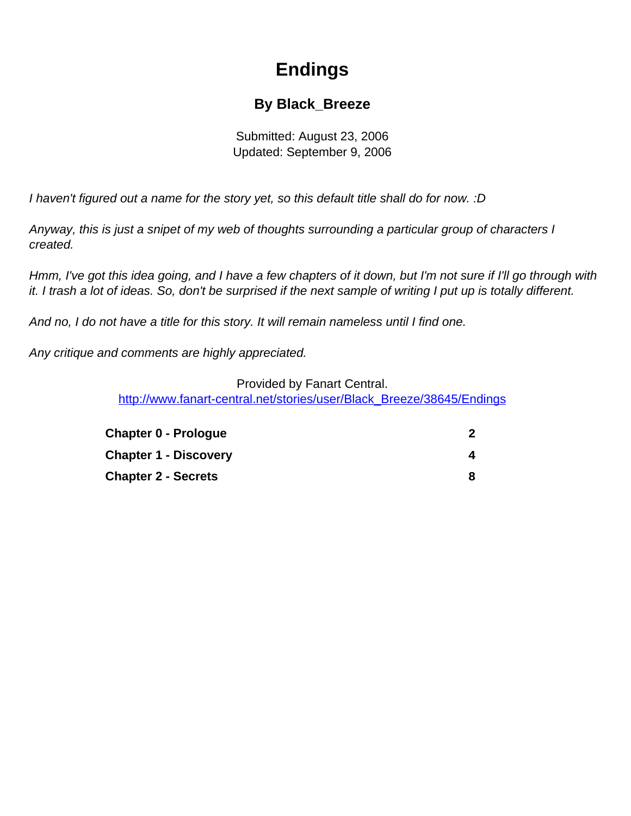# **Endings**

### **By Black\_Breeze**

Submitted: August 23, 2006 Updated: September 9, 2006

<span id="page-0-0"></span>I haven't figured out a name for the story yet, so this default title shall do for now. :D

Anyway, this is just a snipet of my web of thoughts surrounding a particular group of characters I created.

Hmm, I've got this idea going, and I have a few chapters of it down, but I'm not sure if I'll go through with it. I trash a lot of ideas. So, don't be surprised if the next sample of writing I put up is totally different.

And no, I do not have a title for this story. It will remain nameless until I find one.

Any critique and comments are highly appreciated.

#### Provided by Fanart Central.

[http://www.fanart-central.net/stories/user/Black\\_Breeze/38645/Endings](#page-0-0)

| <b>Chapter 0 - Prologue</b>  |  |
|------------------------------|--|
| <b>Chapter 1 - Discovery</b> |  |
| <b>Chapter 2 - Secrets</b>   |  |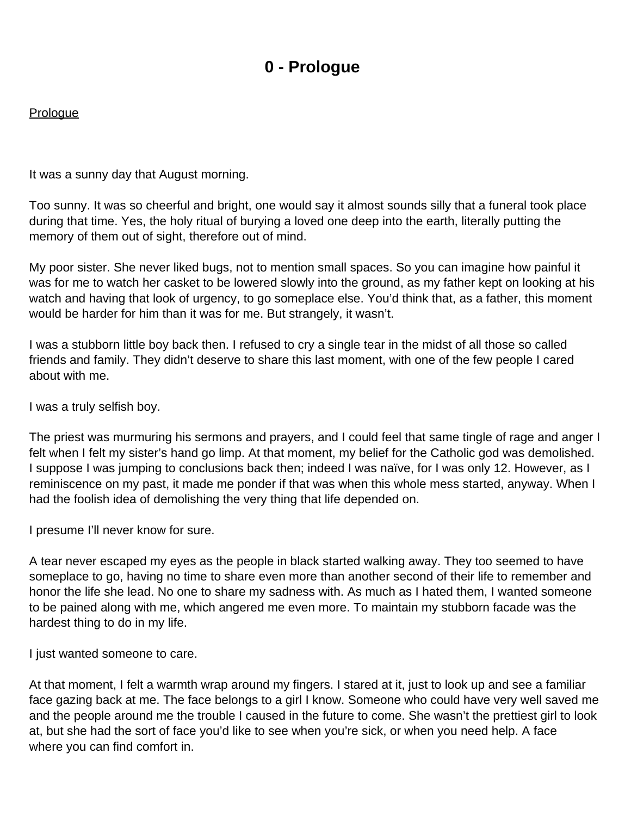## **0 - Prologue**

#### <span id="page-1-0"></span>**Prologue**

It was a sunny day that August morning.

Too sunny. It was so cheerful and bright, one would say it almost sounds silly that a funeral took place during that time. Yes, the holy ritual of burying a loved one deep into the earth, literally putting the memory of them out of sight, therefore out of mind.

My poor sister. She never liked bugs, not to mention small spaces. So you can imagine how painful it was for me to watch her casket to be lowered slowly into the ground, as my father kept on looking at his watch and having that look of urgency, to go someplace else. You'd think that, as a father, this moment would be harder for him than it was for me. But strangely, it wasn't.

I was a stubborn little boy back then. I refused to cry a single tear in the midst of all those so called friends and family. They didn't deserve to share this last moment, with one of the few people I cared about with me.

I was a truly selfish boy.

The priest was murmuring his sermons and prayers, and I could feel that same tingle of rage and anger I felt when I felt my sister's hand go limp. At that moment, my belief for the Catholic god was demolished. I suppose I was jumping to conclusions back then; indeed I was naïve, for I was only 12. However, as I reminiscence on my past, it made me ponder if that was when this whole mess started, anyway. When I had the foolish idea of demolishing the very thing that life depended on.

I presume I'll never know for sure.

A tear never escaped my eyes as the people in black started walking away. They too seemed to have someplace to go, having no time to share even more than another second of their life to remember and honor the life she lead. No one to share my sadness with. As much as I hated them, I wanted someone to be pained along with me, which angered me even more. To maintain my stubborn facade was the hardest thing to do in my life.

I just wanted someone to care.

At that moment, I felt a warmth wrap around my fingers. I stared at it, just to look up and see a familiar face gazing back at me. The face belongs to a girl I know. Someone who could have very well saved me and the people around me the trouble I caused in the future to come. She wasn't the prettiest girl to look at, but she had the sort of face you'd like to see when you're sick, or when you need help. A face where you can find comfort in.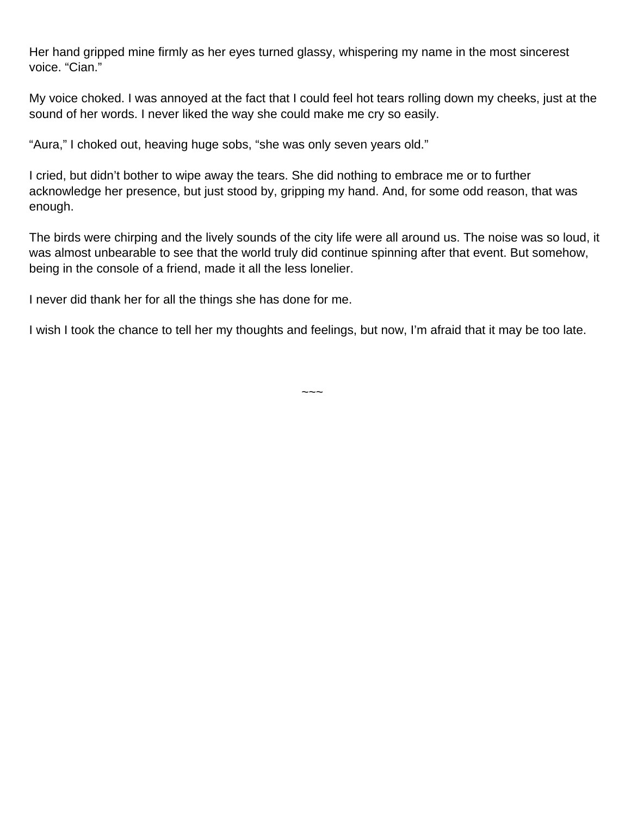Her hand gripped mine firmly as her eyes turned glassy, whispering my name in the most sincerest voice. "Cian."

My voice choked. I was annoyed at the fact that I could feel hot tears rolling down my cheeks, just at the sound of her words. I never liked the way she could make me cry so easily.

"Aura," I choked out, heaving huge sobs, "she was only seven years old."

I cried, but didn't bother to wipe away the tears. She did nothing to embrace me or to further acknowledge her presence, but just stood by, gripping my hand. And, for some odd reason, that was enough.

The birds were chirping and the lively sounds of the city life were all around us. The noise was so loud, it was almost unbearable to see that the world truly did continue spinning after that event. But somehow, being in the console of a friend, made it all the less lonelier.

I never did thank her for all the things she has done for me.

I wish I took the chance to tell her my thoughts and feelings, but now, I'm afraid that it may be too late.

 $\sim\sim\sim$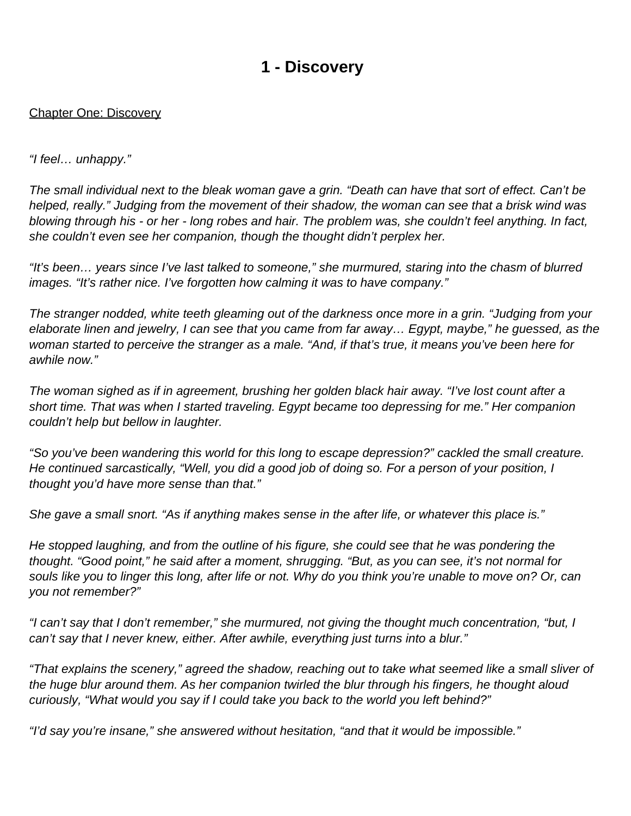### **1 - Discovery**

#### <span id="page-3-0"></span>Chapter One: Discovery

#### "I feel… unhappy."

The small individual next to the bleak woman gave a grin. "Death can have that sort of effect. Can't be helped, really." Judging from the movement of their shadow, the woman can see that a brisk wind was blowing through his - or her - long robes and hair. The problem was, she couldn't feel anything. In fact, she couldn't even see her companion, though the thought didn't perplex her.

"It's been… years since I've last talked to someone," she murmured, staring into the chasm of blurred images. "It's rather nice. I've forgotten how calming it was to have company."

The stranger nodded, white teeth gleaming out of the darkness once more in a grin. "Judging from your elaborate linen and jewelry, I can see that you came from far away… Egypt, maybe," he guessed, as the woman started to perceive the stranger as a male. "And, if that's true, it means you've been here for awhile now."

The woman sighed as if in agreement, brushing her golden black hair away. "I've lost count after a short time. That was when I started traveling. Egypt became too depressing for me." Her companion couldn't help but bellow in laughter.

"So you've been wandering this world for this long to escape depression?" cackled the small creature. He continued sarcastically, "Well, you did a good job of doing so. For a person of your position, I thought you'd have more sense than that."

She gave a small snort. "As if anything makes sense in the after life, or whatever this place is."

He stopped laughing, and from the outline of his figure, she could see that he was pondering the thought. "Good point," he said after a moment, shrugging. "But, as you can see, it's not normal for souls like you to linger this long, after life or not. Why do you think you're unable to move on? Or, can you not remember?"

"I can't say that I don't remember," she murmured, not giving the thought much concentration, "but, I can't say that I never knew, either. After awhile, everything just turns into a blur."

"That explains the scenery," agreed the shadow, reaching out to take what seemed like a small sliver of the huge blur around them. As her companion twirled the blur through his fingers, he thought aloud curiously, "What would you say if I could take you back to the world you left behind?"

"I'd say you're insane," she answered without hesitation, "and that it would be impossible."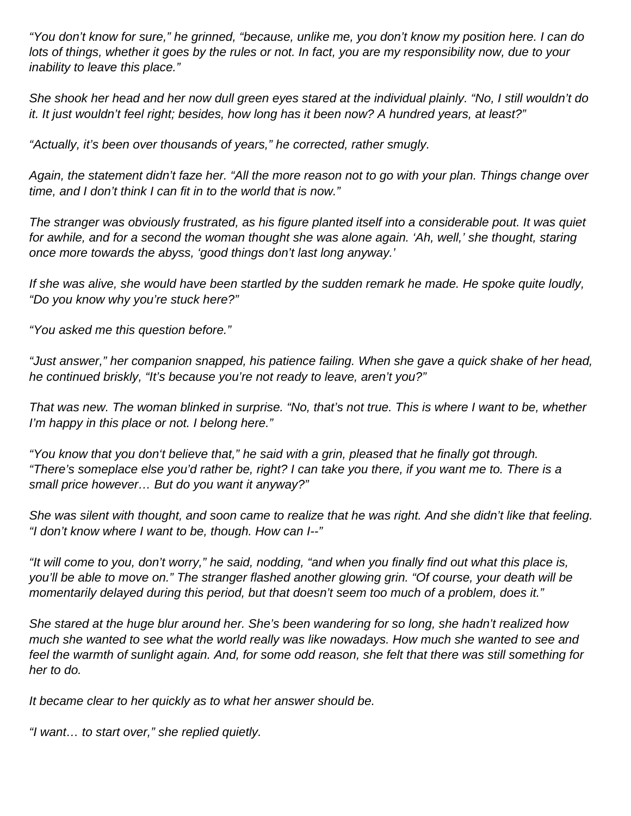"You don't know for sure," he grinned, "because, unlike me, you don't know my position here. I can do lots of things, whether it goes by the rules or not. In fact, you are my responsibility now, due to your inability to leave this place."

She shook her head and her now dull green eyes stared at the individual plainly. "No, I still wouldn't do it. It just wouldn't feel right; besides, how long has it been now? A hundred years, at least?"

"Actually, it's been over thousands of years," he corrected, rather smugly.

Again, the statement didn't faze her. "All the more reason not to go with your plan. Things change over time, and I don't think I can fit in to the world that is now."

The stranger was obviously frustrated, as his figure planted itself into a considerable pout. It was quiet for awhile, and for a second the woman thought she was alone again. 'Ah, well,' she thought, staring once more towards the abyss, 'good things don't last long anyway.'

If she was alive, she would have been startled by the sudden remark he made. He spoke quite loudly, "Do you know why you're stuck here?"

"You asked me this question before."

"Just answer," her companion snapped, his patience failing. When she gave a quick shake of her head, he continued briskly, "It's because you're not ready to leave, aren't you?"

That was new. The woman blinked in surprise. "No, that's not true. This is where I want to be, whether I'm happy in this place or not. I belong here."

"You know that you don't believe that," he said with a grin, pleased that he finally got through. "There's someplace else you'd rather be, right? I can take you there, if you want me to. There is a small price however… But do you want it anyway?"

She was silent with thought, and soon came to realize that he was right. And she didn't like that feeling. "I don't know where I want to be, though. How can I--"

"It will come to you, don't worry," he said, nodding, "and when you finally find out what this place is, you'll be able to move on." The stranger flashed another glowing grin. "Of course, your death will be momentarily delayed during this period, but that doesn't seem too much of a problem, does it."

She stared at the huge blur around her. She's been wandering for so long, she hadn't realized how much she wanted to see what the world really was like nowadays. How much she wanted to see and feel the warmth of sunlight again. And, for some odd reason, she felt that there was still something for her to do.

It became clear to her quickly as to what her answer should be.

"I want… to start over," she replied quietly.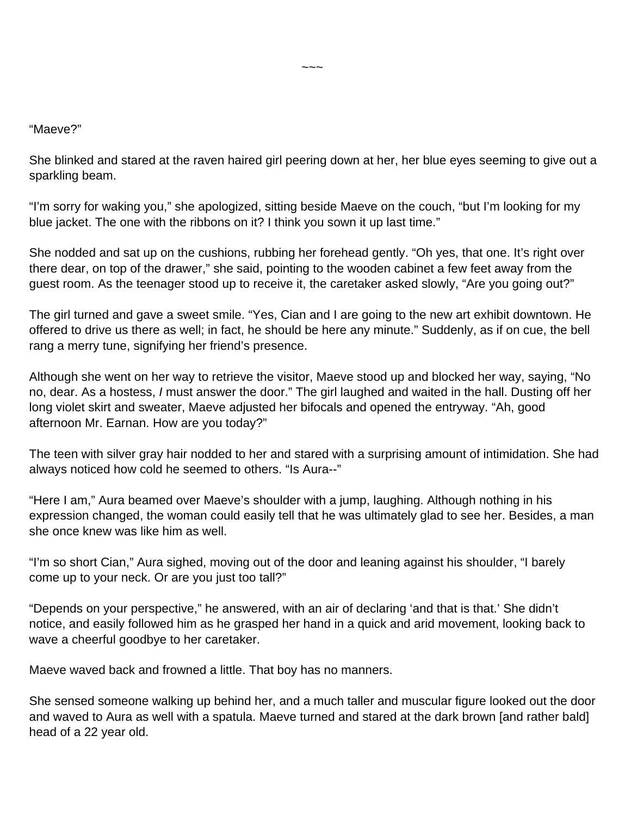#### "Maeve?"

She blinked and stared at the raven haired girl peering down at her, her blue eyes seeming to give out a sparkling beam.

"I'm sorry for waking you," she apologized, sitting beside Maeve on the couch, "but I'm looking for my blue jacket. The one with the ribbons on it? I think you sown it up last time."

She nodded and sat up on the cushions, rubbing her forehead gently. "Oh yes, that one. It's right over there dear, on top of the drawer," she said, pointing to the wooden cabinet a few feet away from the guest room. As the teenager stood up to receive it, the caretaker asked slowly, "Are you going out?"

The girl turned and gave a sweet smile. "Yes, Cian and I are going to the new art exhibit downtown. He offered to drive us there as well; in fact, he should be here any minute." Suddenly, as if on cue, the bell rang a merry tune, signifying her friend's presence.

Although she went on her way to retrieve the visitor, Maeve stood up and blocked her way, saying, "No no, dear. As a hostess, I must answer the door." The girl laughed and waited in the hall. Dusting off her long violet skirt and sweater, Maeve adjusted her bifocals and opened the entryway. "Ah, good afternoon Mr. Earnan. How are you today?"

The teen with silver gray hair nodded to her and stared with a surprising amount of intimidation. She had always noticed how cold he seemed to others. "Is Aura--"

"Here I am," Aura beamed over Maeve's shoulder with a jump, laughing. Although nothing in his expression changed, the woman could easily tell that he was ultimately glad to see her. Besides, a man she once knew was like him as well.

"I'm so short Cian," Aura sighed, moving out of the door and leaning against his shoulder, "I barely come up to your neck. Or are you just too tall?"

"Depends on your perspective," he answered, with an air of declaring 'and that is that.' She didn't notice, and easily followed him as he grasped her hand in a quick and arid movement, looking back to wave a cheerful goodbye to her caretaker.

Maeve waved back and frowned a little. That boy has no manners.

She sensed someone walking up behind her, and a much taller and muscular figure looked out the door and waved to Aura as well with a spatula. Maeve turned and stared at the dark brown [and rather bald] head of a 22 year old.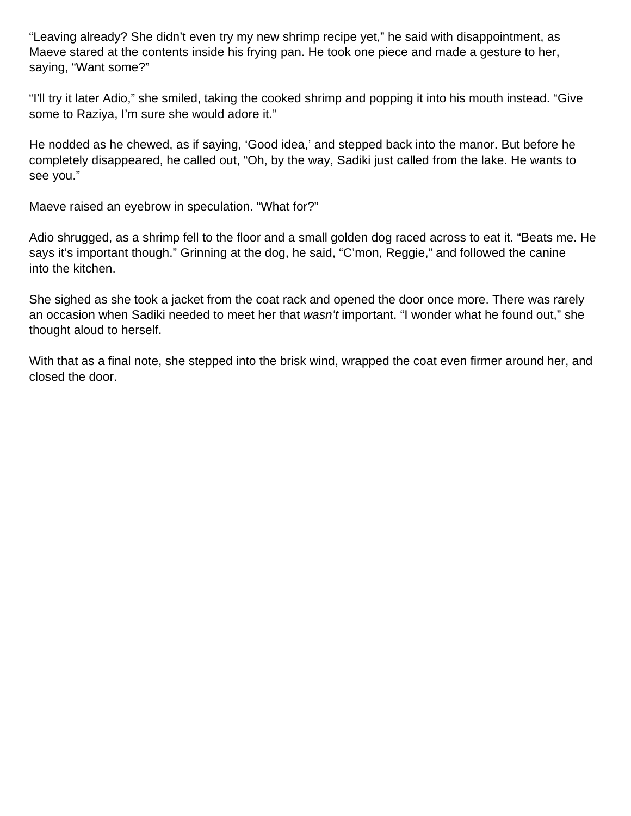"Leaving already? She didn't even try my new shrimp recipe yet," he said with disappointment, as Maeve stared at the contents inside his frying pan. He took one piece and made a gesture to her, saying, "Want some?"

"I'll try it later Adio," she smiled, taking the cooked shrimp and popping it into his mouth instead. "Give some to Raziya, I'm sure she would adore it."

He nodded as he chewed, as if saying, 'Good idea,' and stepped back into the manor. But before he completely disappeared, he called out, "Oh, by the way, Sadiki just called from the lake. He wants to see you."

Maeve raised an eyebrow in speculation. "What for?"

Adio shrugged, as a shrimp fell to the floor and a small golden dog raced across to eat it. "Beats me. He says it's important though." Grinning at the dog, he said, "C'mon, Reggie," and followed the canine into the kitchen.

She sighed as she took a jacket from the coat rack and opened the door once more. There was rarely an occasion when Sadiki needed to meet her that wasn't important. "I wonder what he found out," she thought aloud to herself.

With that as a final note, she stepped into the brisk wind, wrapped the coat even firmer around her, and closed the door.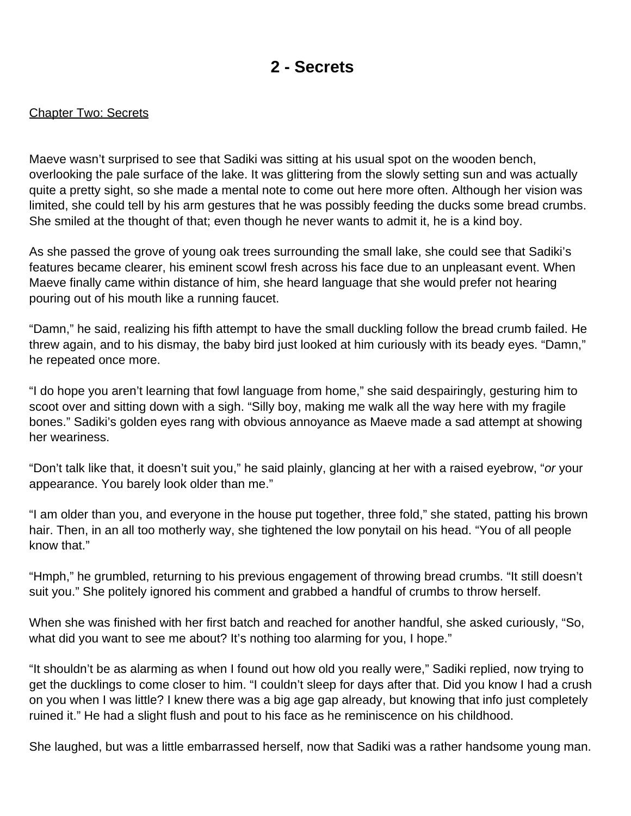### **2 - Secrets**

#### <span id="page-7-0"></span>Chapter Two: Secrets

Maeve wasn't surprised to see that Sadiki was sitting at his usual spot on the wooden bench, overlooking the pale surface of the lake. It was glittering from the slowly setting sun and was actually quite a pretty sight, so she made a mental note to come out here more often. Although her vision was limited, she could tell by his arm gestures that he was possibly feeding the ducks some bread crumbs. She smiled at the thought of that; even though he never wants to admit it, he is a kind boy.

As she passed the grove of young oak trees surrounding the small lake, she could see that Sadiki's features became clearer, his eminent scowl fresh across his face due to an unpleasant event. When Maeve finally came within distance of him, she heard language that she would prefer not hearing pouring out of his mouth like a running faucet.

"Damn," he said, realizing his fifth attempt to have the small duckling follow the bread crumb failed. He threw again, and to his dismay, the baby bird just looked at him curiously with its beady eyes. "Damn," he repeated once more.

"I do hope you aren't learning that fowl language from home," she said despairingly, gesturing him to scoot over and sitting down with a sigh. "Silly boy, making me walk all the way here with my fragile bones." Sadiki's golden eyes rang with obvious annoyance as Maeve made a sad attempt at showing her weariness.

"Don't talk like that, it doesn't suit you," he said plainly, glancing at her with a raised eyebrow, "or your appearance. You barely look older than me."

"I am older than you, and everyone in the house put together, three fold," she stated, patting his brown hair. Then, in an all too motherly way, she tightened the low ponytail on his head. "You of all people know that."

"Hmph," he grumbled, returning to his previous engagement of throwing bread crumbs. "It still doesn't suit you." She politely ignored his comment and grabbed a handful of crumbs to throw herself.

When she was finished with her first batch and reached for another handful, she asked curiously, "So, what did you want to see me about? It's nothing too alarming for you, I hope."

"It shouldn't be as alarming as when I found out how old you really were," Sadiki replied, now trying to get the ducklings to come closer to him. "I couldn't sleep for days after that. Did you know I had a crush on you when I was little? I knew there was a big age gap already, but knowing that info just completely ruined it." He had a slight flush and pout to his face as he reminiscence on his childhood.

She laughed, but was a little embarrassed herself, now that Sadiki was a rather handsome young man.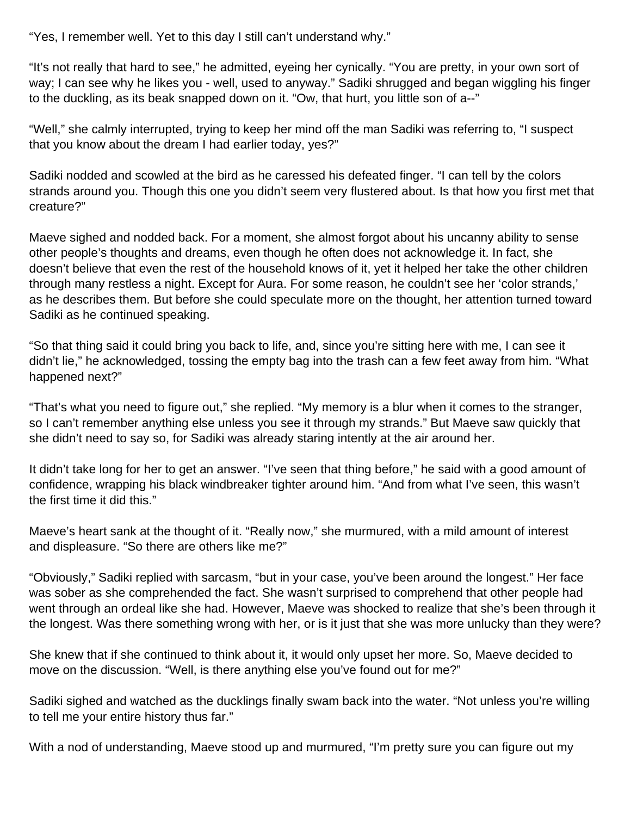"Yes, I remember well. Yet to this day I still can't understand why."

"It's not really that hard to see," he admitted, eyeing her cynically. "You are pretty, in your own sort of way; I can see why he likes you - well, used to anyway." Sadiki shrugged and began wiggling his finger to the duckling, as its beak snapped down on it. "Ow, that hurt, you little son of a--"

"Well," she calmly interrupted, trying to keep her mind off the man Sadiki was referring to, "I suspect that you know about the dream I had earlier today, yes?"

Sadiki nodded and scowled at the bird as he caressed his defeated finger. "I can tell by the colors strands around you. Though this one you didn't seem very flustered about. Is that how you first met that creature?"

Maeve sighed and nodded back. For a moment, she almost forgot about his uncanny ability to sense other people's thoughts and dreams, even though he often does not acknowledge it. In fact, she doesn't believe that even the rest of the household knows of it, yet it helped her take the other children through many restless a night. Except for Aura. For some reason, he couldn't see her 'color strands,' as he describes them. But before she could speculate more on the thought, her attention turned toward Sadiki as he continued speaking.

"So that thing said it could bring you back to life, and, since you're sitting here with me, I can see it didn't lie," he acknowledged, tossing the empty bag into the trash can a few feet away from him. "What happened next?"

"That's what you need to figure out," she replied. "My memory is a blur when it comes to the stranger, so I can't remember anything else unless you see it through my strands." But Maeve saw quickly that she didn't need to say so, for Sadiki was already staring intently at the air around her.

It didn't take long for her to get an answer. "I've seen that thing before," he said with a good amount of confidence, wrapping his black windbreaker tighter around him. "And from what I've seen, this wasn't the first time it did this."

Maeve's heart sank at the thought of it. "Really now," she murmured, with a mild amount of interest and displeasure. "So there are others like me?"

"Obviously," Sadiki replied with sarcasm, "but in your case, you've been around the longest." Her face was sober as she comprehended the fact. She wasn't surprised to comprehend that other people had went through an ordeal like she had. However, Maeve was shocked to realize that she's been through it the longest. Was there something wrong with her, or is it just that she was more unlucky than they were?

She knew that if she continued to think about it, it would only upset her more. So, Maeve decided to move on the discussion. "Well, is there anything else you've found out for me?"

Sadiki sighed and watched as the ducklings finally swam back into the water. "Not unless you're willing to tell me your entire history thus far."

With a nod of understanding, Maeve stood up and murmured, "I'm pretty sure you can figure out my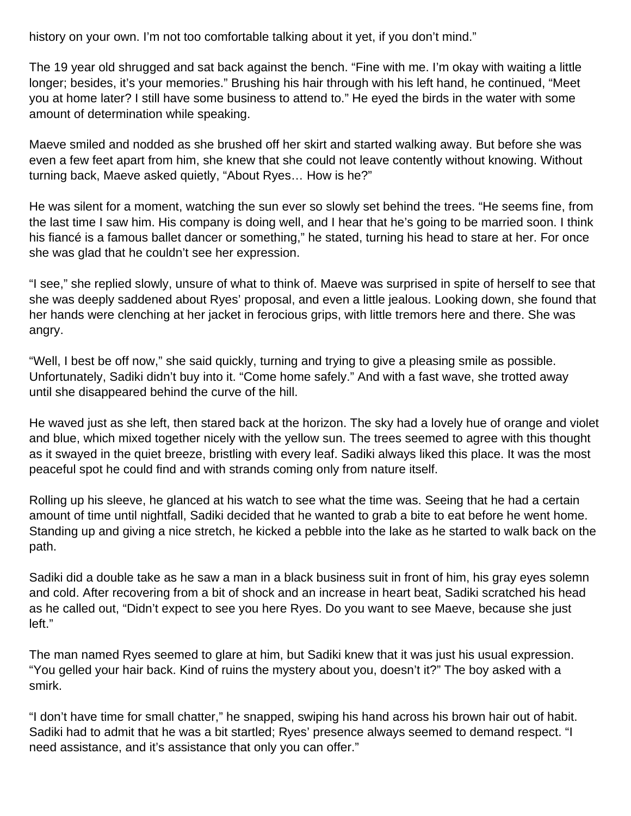history on your own. I'm not too comfortable talking about it yet, if you don't mind."

The 19 year old shrugged and sat back against the bench. "Fine with me. I'm okay with waiting a little longer; besides, it's your memories." Brushing his hair through with his left hand, he continued, "Meet you at home later? I still have some business to attend to." He eyed the birds in the water with some amount of determination while speaking.

Maeve smiled and nodded as she brushed off her skirt and started walking away. But before she was even a few feet apart from him, she knew that she could not leave contently without knowing. Without turning back, Maeve asked quietly, "About Ryes… How is he?"

He was silent for a moment, watching the sun ever so slowly set behind the trees. "He seems fine, from the last time I saw him. His company is doing well, and I hear that he's going to be married soon. I think his fiancé is a famous ballet dancer or something," he stated, turning his head to stare at her. For once she was glad that he couldn't see her expression.

"I see," she replied slowly, unsure of what to think of. Maeve was surprised in spite of herself to see that she was deeply saddened about Ryes' proposal, and even a little jealous. Looking down, she found that her hands were clenching at her jacket in ferocious grips, with little tremors here and there. She was angry.

"Well, I best be off now," she said quickly, turning and trying to give a pleasing smile as possible. Unfortunately, Sadiki didn't buy into it. "Come home safely." And with a fast wave, she trotted away until she disappeared behind the curve of the hill.

He waved just as she left, then stared back at the horizon. The sky had a lovely hue of orange and violet and blue, which mixed together nicely with the yellow sun. The trees seemed to agree with this thought as it swayed in the quiet breeze, bristling with every leaf. Sadiki always liked this place. It was the most peaceful spot he could find and with strands coming only from nature itself.

Rolling up his sleeve, he glanced at his watch to see what the time was. Seeing that he had a certain amount of time until nightfall, Sadiki decided that he wanted to grab a bite to eat before he went home. Standing up and giving a nice stretch, he kicked a pebble into the lake as he started to walk back on the path.

Sadiki did a double take as he saw a man in a black business suit in front of him, his gray eyes solemn and cold. After recovering from a bit of shock and an increase in heart beat, Sadiki scratched his head as he called out, "Didn't expect to see you here Ryes. Do you want to see Maeve, because she just left."

The man named Ryes seemed to glare at him, but Sadiki knew that it was just his usual expression. "You gelled your hair back. Kind of ruins the mystery about you, doesn't it?" The boy asked with a smirk.

"I don't have time for small chatter," he snapped, swiping his hand across his brown hair out of habit. Sadiki had to admit that he was a bit startled; Ryes' presence always seemed to demand respect. "I need assistance, and it's assistance that only you can offer."